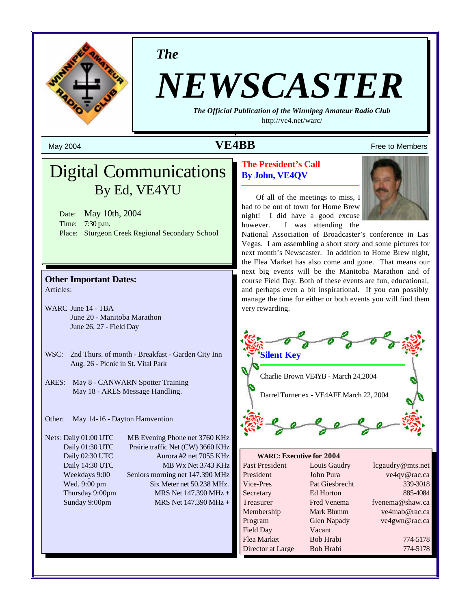

*The*

## *NEWSCASTER*

*The Official Publication of the Winnipeg Amateur Radio Club* <http://ve4.net/warc/>

## May 2004  $\bf{VEABB}$  Free to Members

## Digital Communications By Ed, VE4YU

Date: May 10th, 2004 Time: 7:30 p.m. Place: Sturgeon Creek Regional Secondary School

#### **Other Important Dates:** Articles:

- WARC June 14 TBA June 20 - Manitoba Marathon June 26, 27 - Field Day
- WSC: 2nd Thurs. of month Breakfast Garden City Inn Aug. 26 - Picnic in St. Vital Park
- ARES: May 8 CANWARN Spotter Training May 18 - ARES Message Handling.

Other: May 14-16 - Dayton Hamvention

Nets: Daily 01:00 UTC MB Evening Phone net 3760 KHz

Daily 01:30 UTC Prairie traffic Net (CW) 3660 KHz Daily 02:30 UTC Aurora #2 net 7055 KHz Daily 14:30 UTC MB Wx Net 3743 KHz Weekdays 9:00 Seniors morning net 147.390 MHz Wed. 9:00 pm Six Meter net 50.238 MHz. Thursday 9:00pm MRS Net  $147.390 \text{ MHz} +$ Sunday 9:00pm MRS Net 147.390 MHz +

#### **The President's Call By John, VE4QV**

Of all of the meetings to miss, I had to be out of town for Home Brew night! I did have a good excuse however. I was attending the



National Association of Broadcaster's conference in Las Vegas. I am assembling a short story and some pictures for next month's Newscaster. In addition to Home Brew night, the Flea Market has also come and gone. That means our next big events will be the Manitoba Marathon and of course Field Day. Both of these events are fun, educational, and perhaps even a bit inspirational. If you can possibly manage the time for either or both events you will find them very rewarding.



| <b>WARC: Executive for 2004</b> |                    |                  |
|---------------------------------|--------------------|------------------|
| Past President                  | Louis Gaudry       | lcgaudry@mts.net |
| President                       | John Pura          | ve4qv@rac.ca     |
| Vice-Pres                       | Pat Giesbrecht     | 339-3018         |
| Secretary                       | Ed Horton          | 885-4084         |
| Treasurer                       | Fred Venema        | fvenema@shaw.ca  |
| Membership                      | Mark Blumm         | ve4mab@rac.ca    |
| Program                         | <b>Glen Napady</b> | ve4gwn@rac.ca    |
| Field Day                       | Vacant             |                  |
| Flea Market                     | Bob Hrabi          | 774-5178         |
| Director at Large               | Bob Hrabi          | 774-5178         |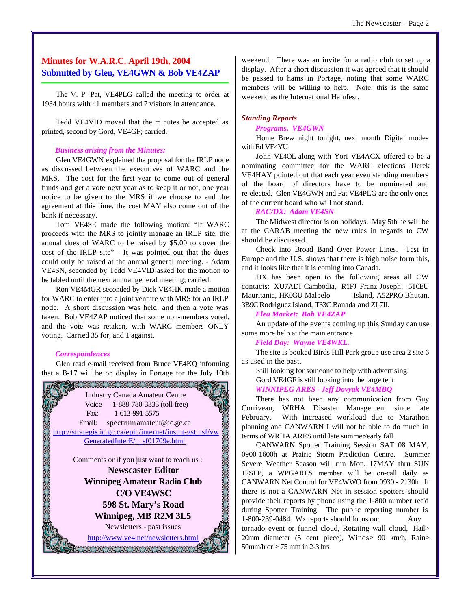#### **Minutes for W.A.R.C. April 19th, 2004 Submitted by Glen, VE4GWN & Bob VE4ZAP**

The V. P. Pat, VE4PLG called the meeting to order at 1934 hours with 41 members and 7 visitors in attendance.

Tedd VE4VID moved that the minutes be accepted as printed, second by Gord, VE4GF; carried.

#### *Business arising from the Minutes:*

Glen VE4GWN explained the proposal for the IRLP node as discussed between the executives of WARC and the MRS. The cost for the first year to come out of general funds and get a vote next year as to keep it or not, one year notice to be given to the MRS if we choose to end the agreement at this time, the cost MAY also come out of the bank if necessary.

Tom VE4SE made the following motion: "If WARC proceeds with the MRS to jointly manage an IRLP site, the annual dues of WARC to be raised by \$5.00 to cover the cost of the IRLP site" - It was pointed out that the dues could only be raised at the annual general meeting. - Adam VE4SN, seconded by Tedd VE4VID asked for the motion to be tabled until the next annual general meeting; carried.

Ron VE4MGR seconded by Dick VE4HK made a motion for WARC to enter into a joint venture with MRS for an IRLP node. A short discussion was held, and then a vote was taken. Bob VE4ZAP noticed that some non-members voted, and the vote was retaken, with WARC members ONLY voting. Carried 35 for, and 1 against.

#### *Correspondences*

Glen read e-mail received from Bruce VE4KQ informing that a B-17 will be on display in Portage for the July 10th



weekend. There was an invite for a radio club to set up a display. After a short discussion it was agreed that it should be passed to hams in Portage, noting that some WARC members will be willing to help. Note: this is the same weekend as the International Hamfest.

#### *Standing Reports*

#### *Programs. VE4GWN*

Home Brew night tonight, next month Digital modes with Ed VE4YU

John VE4OL along with Yori VE4ACX offered to be a nominating committee for the WARC elections Derek VE4HAY pointed out that each year even standing members of the board of directors have to be nominated and re-elected. Glen VE4GWN and Pat VE4PLG are the only ones of the current board who will not stand.

#### *RAC/DX: Adam VE4SN*

The Midwest director is on holidays. May 5th he will be at the CARAB meeting the new rules in regards to CW should be discussed.

Check into Broad Band Over Power Lines. Test in Europe and the U.S. shows that there is high noise form this, and it looks like that it is coming into Canada.

DX has been open to the following areas all CW contacts: XU7ADI Cambodia, R1FJ Franz Joseph, 5T0EU Mauritania, HK0GU Malpelo Island, A52PRO Bhutan, 3B9C Rodriguez Island, T33C Banada and ZL7II.

#### *Flea Market: Bob VE4ZAP*

An update of the events coming up this Sunday can use some more help at the main entrance

#### *Field Day: Wayne VE4WKL.*

The site is booked Birds Hill Park group use area 2 site 6 as used in the past.

Still looking for someone to help with advertising. Gord VE4GF is still looking into the large tent *WINNIPEG ARES - Jeff Dovyak VE4MBQ*

There has not been any communication from Guy Corriveau, WRHA Disaster Management since late February. With increased workload due to Marathon planning and CANWARN I will not be able to do much in terms of WRHA ARES until late summer/early fall.

CANWARN Spotter Training Session SAT 08 MAY, 0900-1600h at Prairie Storm Prediction Centre. Summer Severe Weather Season will run Mon. 17MAY thru SUN 12SEP, a WPGARES member will be on-call daily as CANWARN Net Control for VE4WWO from 0930 - 2130h. If there is not a CANWARN Net in session spotters should provide their reports by phone using the 1-800 number rec'd during Spotter Training. The public reporting number is 1-800-239-0484. Wx reports should focus on: Any tornado event or funnel cloud, Rotating wall cloud, Hail> 20mm diameter (5 cent piece), Winds> 90 km/h, Rain> 50mm/h or > 75 mm in 2-3 hrs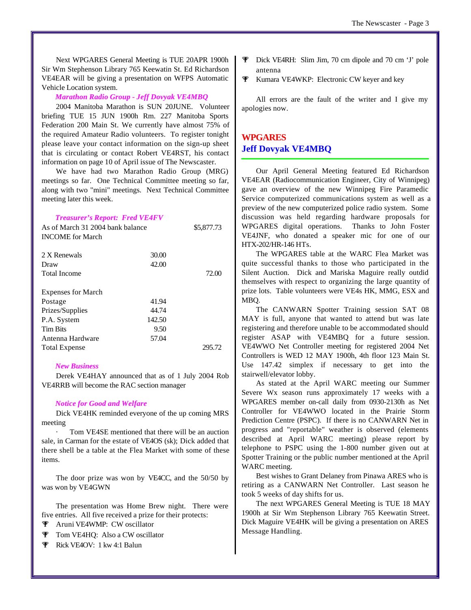Next WPGARES General Meeting is TUE 20APR 1900h Sir Wm Stephenson Library 765 Keewatin St. Ed Richardson VE4EAR will be giving a presentation on WFPS Automatic Vehicle Location system.

#### *Marathon Radio Group - Jeff Dovyak VE4MBQ*

2004 Manitoba Marathon is SUN 20JUNE. Volunteer briefing TUE 15 JUN 1900h Rm. 227 Manitoba Sports Federation 200 Main St. We currently have almost 75% of the required Amateur Radio volunteers. To register tonight please leave your contact information on the sign-up sheet that is circulating or contact Robert VE4RST, his contact information on page 10 of April issue of The Newscaster.

We have had two Marathon Radio Group (MRG) meetings so far. One Technical Committee meeting so far, along with two "mini" meetings. Next Technical Committee meeting later this week.

#### *Treasurer's Report: Fred VE4FV*

| As of March 31 2004 bank balance<br><b>INCOME</b> for March |        | \$5,877.73 |
|-------------------------------------------------------------|--------|------------|
| 2 X Renewals                                                | 30.00  |            |
| Draw                                                        | 42.00  |            |
| Total Income                                                |        | 72.00      |
| <b>Expenses for March</b>                                   |        |            |
| Postage                                                     | 41.94  |            |
| Prizes/Supplies                                             | 44.74  |            |
| P.A. System                                                 | 142.50 |            |
| <b>Tim Bits</b>                                             | 9.50   |            |
| Antenna Hardware                                            | 57.04  |            |
| <b>Total Expense</b>                                        |        | 295.72     |

#### *New Business*

Derek VE4HAY announced that as of 1 July 2004 Rob VE4RRB will become the RAC section manager

#### *Notice for Good and Welfare*

Dick VE4HK reminded everyone of the up coming MRS meeting

Tom VE4SE mentioned that there will be an auction sale, in Carman for the estate of VE4OS (sk); Dick added that there shell be a table at the Flea Market with some of these items.

The door prize was won by VE4CC, and the 50/50 by was won by VE4GWN

The presentation was Home Brew night. There were five entries. All five received a prize for their protects:

- % Aruni VE4WMP: CW oscillator
- **T** Tom VE4HQ: Also a CW oscillator
- **F** Rick VE4OV: 1 kw 4:1 Balun
- % Dick VE4RH: Slim Jim, 70 cm dipole and 70 cm 'J' pole antenna
- **W** Kumara VE4WKP: Electronic CW keyer and key

All errors are the fault of the writer and I give my apologies now.

#### **WPGARES Jeff Dovyak VE4MBQ**

Our April General Meeting featured Ed Richardson VE4EAR (Radiocommunication Engineer, City of Winnipeg) gave an overview of the new Winnipeg Fire Paramedic Service computerized communications system as well as a preview of the new computerized police radio system. Some discussion was held regarding hardware proposals for WPGARES digital operations. Thanks to John Foster VE4JNF, who donated a speaker mic for one of our HTX-202/HR-146 HTs.

The WPGARES table at the WARC Flea Market was quite successful thanks to those who participated in the Silent Auction. Dick and Mariska Maguire really outdid themselves with respect to organizing the large quantity of prize lots. Table volunteers were VE4s HK, MMG, ESX and MBQ.

The CANWARN Spotter Training session SAT 08 MAY is full, anyone that wanted to attend but was late registering and therefore unable to be accommodated should register ASAP with VE4MBQ for a future session. VE4WWO Net Controller meeting for registered 2004 Net Controllers is WED 12 MAY 1900h, 4th floor 123 Main St. Use 147.42 simplex if necessary to get into the stairwell/elevator lobby.

As stated at the April WARC meeting our Summer Severe Wx season runs approximately 17 weeks with a WPGARES member on-call daily from 0930-2130h as Net Controller for VE4WWO located in the Prairie Storm Prediction Centre (PSPC). If there is no CANWARN Net in progress and "reportable" weather is observed (elements described at April WARC meeting) please report by telephone to PSPC using the 1-800 number given out at Spotter Training or the public number mentioned at the April WARC meeting.

Best wishes to Grant Delaney from Pinawa ARES who is retiring as a CANWARN Net Controller. Last season he took 5 weeks of day shifts for us.

The next WPGARES General Meeting is TUE 18 MAY 1900h at Sir Wm Stephenson Library 765 Keewatin Street. Dick Maguire VE4HK will be giving a presentation on ARES Message Handling.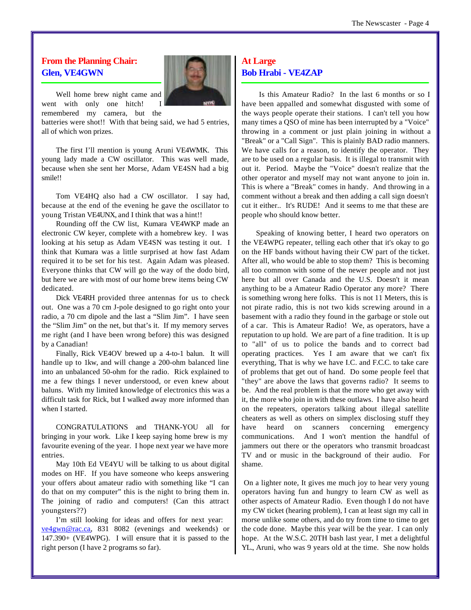#### **From the Planning Chair: Glen, VE4GWN**



Well home brew night came and went with only one hitch! remembered my camera, but the

batteries were shot!! With that being said, we had 5 entries, all of which won prizes.

The first I'll mention is young Aruni VE4WMK. This young lady made a CW oscillator. This was well made, because when she sent her Morse, Adam VE4SN had a big smile!!

Tom VE4HQ also had a CW oscillator. I say had, because at the end of the evening he gave the oscillator to young Tristan VE4UNX, and I think that was a hint!!

Rounding off the CW list, Kumara VE4WKP made an electronic CW keyer, complete with a homebrew key. I was looking at his setup as Adam VE4SN was testing it out. I think that Kumara was a little surprised at how fast Adam required it to be set for his test. Again Adam was pleased. Everyone thinks that CW will go the way of the dodo bird, but here we are with most of our home brew items being CW dedicated.

Dick VE4RH provided three antennas for us to check out. One was a 70 cm J-pole designed to go right onto your radio, a 70 cm dipole and the last a "Slim Jim". I have seen the "Slim Jim" on the net, but that's it. If my memory serves me right (and I have been wrong before) this was designed by a Canadian!

Finally, Rick VE4OV brewed up a 4-to-1 balun. It will handle up to 1kw, and will change a 200-ohm balanced line into an unbalanced 50-ohm for the radio. Rick explained to me a few things I never understood, or even knew about baluns. With my limited knowledge of electronics this was a difficult task for Rick, but I walked away more informed than when I started.

CONGRATULATIONS and THANK-YOU all for bringing in your work. Like I keep saying home brew is my favourite evening of the year. I hope next year we have more entries.

May 10th Ed VE4YU will be talking to us about digital modes on HF. If you have someone who keeps answering your offers about amateur radio with something like "I can do that on my computer" this is the night to bring them in. The joining of radio and computers! (Can this attract youngsters??)

I'm still looking for ideas and offers for next year: ve4gwn@rac.ca, 831 8082 (evenings and weekends) or 147.390+ (VE4WPG). I will ensure that it is passed to the right person (I have 2 programs so far).

#### **At Large Bob Hrabi - VE4ZAP**

 Is this Amateur Radio? In the last 6 months or so I have been appalled and somewhat disgusted with some of the ways people operate their stations. I can't tell you how many times a QSO of mine has been interrupted by a "Voice" throwing in a comment or just plain joining in without a "Break" or a "Call Sign". This is plainly BAD radio manners. We have calls for a reason, to identify the operator. They are to be used on a regular basis. It is illegal to transmit with out it. Period. Maybe the "Voice" doesn't realize that the other operator and myself may not want anyone to join in. This is where a "Break" comes in handy. And throwing in a comment without a break and then adding a call sign doesn't cut it either.. It's RUDE! And it seems to me that these are people who should know better.

Speaking of knowing better, I heard two operators on the VE4WPG repeater, telling each other that it's okay to go on the HF bands without having their CW part of the ticket. After all, who would be able to stop them? This is becoming all too common with some of the newer people and not just here but all over Canada and the U.S. Doesn't it mean anything to be a Amateur Radio Operator any more? There is something wrong here folks. This is not 11 Meters, this is not pirate radio, this is not two kids screwing around in a basement with a radio they found in the garbage or stole out of a car. This is Amateur Radio! We, as operators, have a reputation to up hold. We are part of a fine tradition. It is up to "all" of us to police the bands and to correct bad operating practices. Yes I am aware that we can't fix everything, That is why we have I.C. and F.C.C. to take care of problems that get out of hand. Do some people feel that "they" are above the laws that governs radio? It seems to be. And the real problem is that the more who get away with it, the more who join in with these outlaws. I have also heard on the repeaters, operators talking about illegal satellite cheaters as well as others on simplex disclosing stuff they have heard on scanners concerning emergency communications. And I won't mention the handful of jammers out there or the operators who transmit broadcast TV and or music in the background of their audio. For shame.

 On a lighter note, It gives me much joy to hear very young operators having fun and hungry to learn CW as well as other aspects of Amateur Radio. Even though I do not have my CW ticket (hearing problem), I can at least sign my call in morse unlike some others, and do try from time to time to get the code done. Maybe this year will be the year. I can only hope. At the W.S.C. 20TH bash last year, I met a delightful YL., Aruni, who was 9 years old at the time. She now holds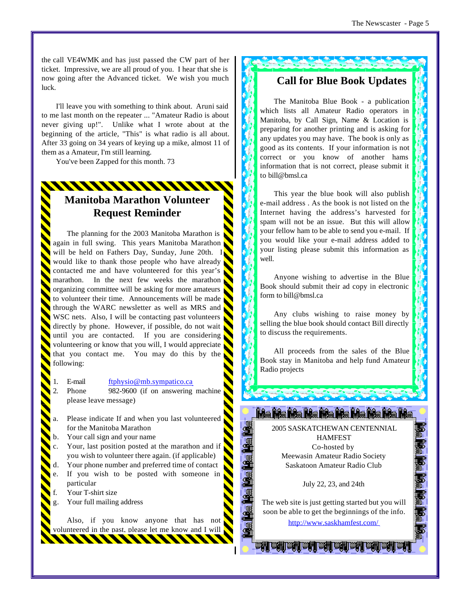the call VE4WMK and has just passed the CW part of her ticket. Impressive, we are all proud of you. I hear that she is now going after the Advanced ticket. We wish you much luck.

I'll leave you with something to think about. Aruni said to me last month on the repeater ... "Amateur Radio is about never giving up!". Unlike what I wrote about at the beginning of the article, "This" is what radio is all about. After 33 going on 34 years of keying up a mike, almost 11 of them as a Amateur, I'm still learning.

You've been Zapped for this month. 73

## **Manitoba Marathon Volunteer Request Reminder**

The planning for the 2003 Manitoba Marathon is again in full swing. This years Manitoba Marathon will be held on Fathers Day, Sunday, June 20th. I would like to thank those people who have already contacted me and have volunteered for this year's marathon. In the next few weeks the marathon organizing committee will be asking for more amateurs to volunteer their time. Announcements will be made through the WARC newsletter as well as MRS and WSC nets. Also, I will be contacting past volunteers directly by phone. However, if possible, do not wait until you are contacted. If you are considering volunteering or know that you will, I would appreciate that you contact me. You may do this by the following:

E-mail ftphysio@mb.sympatico.ca

Phone 982-9600 (if on answering machine please leave message)

- Please indicate If and when you last volunteered for the Manitoba Marathon
- Your call sign and your name
- Your, last position posted at the marathon and if you wish to volunteer there again. (if applicable)
- Your phone number and preferred time of contact
- If you wish to be posted with someone in particular
- Your T-shirt size
- Your full mailing address

Also, if you know anyone that has not volunteered in the past, please let me know and I will

1111111111

### **Call for Blue Book Updates**

The Manitoba Blue Book - a publication which lists all Amateur Radio operators in Manitoba, by Call Sign, Name & Location is preparing for another printing and is asking for any updates you may have. The book is only as good as its contents. If your information is not correct or you know of another hams information that is not correct, please submit it to bill@bmsl.ca

This year the blue book will also publish e-mail address . As the book is not listed on the Internet having the address's harvested for spam will not be an issue. But this will allow your fellow ham to be able to send you e-mail. If you would like your e-mail address added to your listing please submit this information as well.

Anyone wishing to advertise in the Blue Book should submit their ad copy in electronic form to bill@bmsl.ca

Any clubs wishing to raise money by selling the blue book should contact Bill directly to discuss the requirements.

All proceeds from the sales of the Blue Book stay in Manitoba and help fund Amateur Radio projects

2005 SASKATCHEWAN CENTENNIAL HAMFEST Co-hosted by Meewasin Amateur Radio Society Saskatoon Amateur Radio Club

<u>La La La La La La La La La La</u>

July 22, 23, and 24th

The web site is just getting started but you will soon be able to get the beginnings of the info. <http://www.saskhamfest.com/>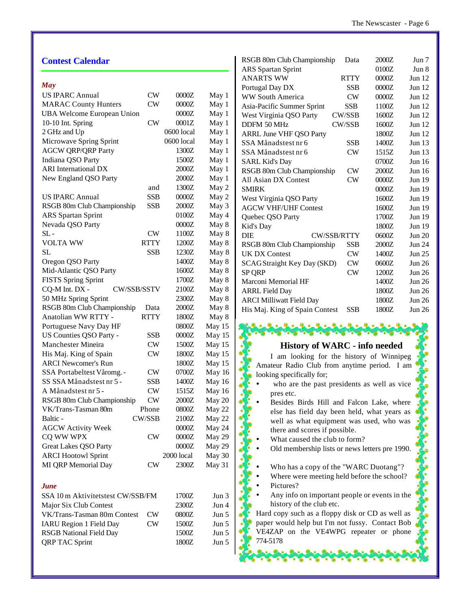| <b>Contest Calendar</b>           |               |            |            | RSGB 80m Club Championship<br>2000Z<br>Data           | Jun 7         |
|-----------------------------------|---------------|------------|------------|-------------------------------------------------------|---------------|
|                                   |               |            |            | 0100Z<br>ARS Spartan Sprint                           | Jun 8         |
| May                               |               |            |            | <b>ANARTS WW</b><br>$0000Z$<br><b>RTTY</b>            | Jun 12        |
| <b>US IPARC Annual</b>            | <b>CW</b>     | 0000Z      | May 1      | $0000Z$<br>Portugal Day DX<br><b>SSB</b>              | Jun 12        |
| <b>MARAC County Hunters</b>       | CW            | 0000Z      | May 1      | <b>WW South America</b><br>CW<br>$0000Z$              | Jun 12        |
| <b>UBA Welcome European Union</b> |               | 0000Z      | May 1      | <b>SSB</b><br>1100Z<br>Asia-Pacific Summer Sprint     | Jun 12        |
|                                   |               | 0001Z      |            | CW/SSB<br>1600Z<br>West Virginia QSO Party            | Jun 12        |
| 10-10 Int. Spring                 | <b>CW</b>     |            | May 1      | DDFM 50 MHz<br>CW/SSB<br>1600Z                        | Jun 12        |
| 2 GHz and Up                      |               | 0600 local | May 1      | 1800Z<br><b>ARRL June VHF QSO Party</b>               | Jun 12        |
| Microwave Spring Sprint           |               | 0600 local | May 1      | SSA Månadstest nr 6<br>1400Z<br><b>SSB</b>            | <b>Jun 13</b> |
| <b>AGCW QRP/QRP Party</b>         |               | 1300Z      | May 1      | SSA Månadstest nr 6<br>CW<br>1515Z                    | Jun 13        |
| Indiana QSO Party                 |               | 1500Z      | May 1      | 0700Z<br><b>SARL Kid's Day</b>                        | <b>Jun 16</b> |
| <b>ARI</b> International DX       |               | 2000Z      | May 1      | RSGB 80m Club Championship<br>$2000Z$<br><b>CW</b>    | <b>Jun 16</b> |
| New England QSO Party             |               | 2000Z      | May 1      | All Asian DX Contest<br>CW<br>$0000Z$                 | <b>Jun 19</b> |
|                                   | and           | 1300Z      | May 2      | <b>SMIRK</b><br>$0000Z$                               | <b>Jun 19</b> |
| <b>US IPARC Annual</b>            | <b>SSB</b>    | $0000Z$    | May 2      | West Virginia QSO Party<br>1600Z                      | <b>Jun 19</b> |
| RSGB 80m Club Championship        | <b>SSB</b>    | $2000Z$    | May 3      | <b>AGCW VHF/UHF Contest</b><br>1600Z                  | <b>Jun 19</b> |
| <b>ARS</b> Spartan Sprint         |               | 0100Z      | May 4      | 1700Z<br>Quebec QSO Party                             | <b>Jun 19</b> |
| Nevada QSO Party                  |               | $0000Z$    | May 8      | 1800Z<br>Kid's Day                                    | <b>Jun 19</b> |
| $SL -$                            | <b>CW</b>     | 1100Z      | May 8      | DIE<br>0600Z<br>CW/SSB/RTTY                           | <b>Jun 20</b> |
| <b>VOLTA WW</b>                   | <b>RTTY</b>   | 1200Z      | May 8      | $2000Z$<br>RSGB 80m Club Championship<br><b>SSB</b>   | <b>Jun 24</b> |
| <b>SL</b>                         | <b>SSB</b>    | 1230Z      | May 8      | $\mathrm{CW}$<br>1400Z<br><b>UK DX Contest</b>        | <b>Jun 25</b> |
| Oregon QSO Party                  |               | 1400Z      | May 8      | ${\rm\bf CW}$<br>0600Z<br>SCAGStraight Key Day (SKD)  | <b>Jun 26</b> |
| Mid-Atlantic QSO Party            |               | 1600Z      | May 8      | CW<br>1200Z<br>SP QRP                                 | <b>Jun 26</b> |
| <b>FISTS Spring Sprint</b>        |               | 1700Z      | May 8      | Marconi Memorial HF<br>1400Z                          | <b>Jun 26</b> |
| CQ-M Int. DX -<br>CW/SSB/SSTV     |               | 2100Z      | May 8      | <b>ARRL Field Day</b><br>1800Z                        | <b>Jun 26</b> |
| 50 MHz Spring Sprint              |               | 2300Z      | May 8      | <b>ARCI Milliwatt Field Day</b><br>1800Z              | <b>Jun 26</b> |
| RSGB 80m Club Championship        | Data          | 2000Z      | May 8      | His Maj. King of Spain Contest<br>1800Z<br><b>SSB</b> | <b>Jun 26</b> |
| Anatolian WW RTTY -               | <b>RTTY</b>   | 1800Z      | May 8      |                                                       |               |
| Portuguese Navy Day HF            |               | 0800Z      | May 15     | 化可见的化可见的                                              |               |
| US Counties QSO Party -           | <b>SSB</b>    | 0000Z      | May 15     |                                                       |               |
| Manchester Mineira                | <b>CW</b>     | 1500Z      | May 15     | <b>History of WARC - info needed</b>                  |               |
| His Maj. King of Spain            | CW            | 1800Z      | May 15     |                                                       |               |
| <b>ARCI Newcomer's Run</b>        |               | 1800Z      | May 15     | I am looking for the history of Winnipeg              |               |
| SSA Portabeltest Våromg. -        | <b>CW</b>     | $0700Z$    | May 16     | Amateur Radio Club from anytime period. I am          |               |
| SS SSA Månadstest nr 5 -          | <b>SSB</b>    | 1400Z      | May 16     | looking specifically for;                             |               |
| A Månadstest nr 5 -               | CW            | 1515Z      | May 16     | who are the past presidents as well as vice           |               |
| RSGB 80m Club Championship        | <b>CW</b>     | $2000Z$    | May $20\,$ | pres etc.<br>o                                        |               |
| VK/Trans-Tasman 80m               | Phone         | 0800Z      | May 22     | Besides Birds Hill and Falcon Lake, where             |               |
|                                   | CW/SSB        |            |            | else has field day been held, what years as           |               |
| Baltic -                          |               | 2100Z      | May 22     | well as what equipment was used, who was              |               |
| <b>AGCW Activity Week</b>         |               | $0000Z$    | May 24     | there and scores if possible.                         |               |
| CQ WW WPX                         | <b>CW</b>     | $0000Z$    | May 29     | What caused the club to form?                         |               |
| Great Lakes QSO Party             |               | $0000Z$    | May 29     | Old membership lists or news letters pre 1990.        |               |
| <b>ARCI Hootowl Sprint</b>        |               | 2000 local | May 30     |                                                       |               |
| MI QRP Memorial Day               | ${\rm\bf CW}$ | 2300Z      | May 31     | Who has a copy of the "WARC Duotang"?                 |               |
|                                   |               |            |            | Where were meeting held before the school?            |               |
| <b>June</b>                       |               |            |            | Pictures?                                             |               |
| SSA 10 m Aktivitetstest CW/SSB/FM |               | 1700Z      | Jun 3      | Any info on important people or events in the         |               |
| Major Six Club Contest            |               | 2300Z      | Jun 4      | history of the club etc.                              |               |
| VK/Trans-Tasman 80m Contest       | CW            | 0800Z      | Jun 5      | Hard copy such as a floppy disk or CD as well as      |               |
| IARU Region 1 Field Day           | ${\rm\bf CW}$ | 1500Z      | Jun 5      | paper would help but I'm not fussy. Contact Bob       |               |
| <b>RSGB</b> National Field Day    |               | 1500Z      | Jun 5      | VE4ZAP on the VE4WPG repeater or phone                |               |
| <b>QRP TAC Sprint</b>             |               | 1800Z      | Jun 5      | 774-5178                                              |               |
|                                   |               |            |            |                                                       |               |
|                                   |               |            |            |                                                       |               |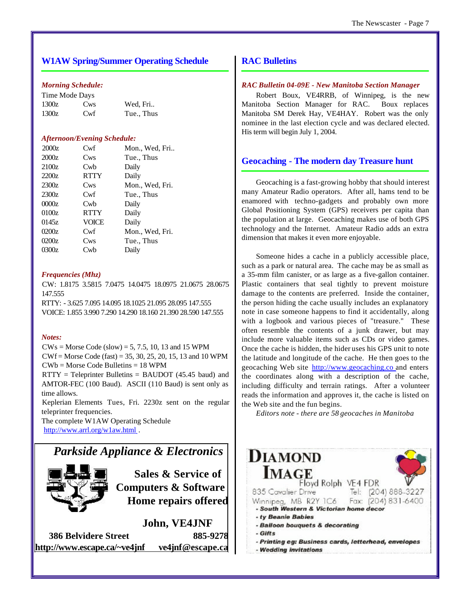#### **W1AW Spring/Summer Operating Schedule**

#### *Morning Schedule:*

| Time Mode Days |                 |            |
|----------------|-----------------|------------|
| 1300z          | Cw <sub>s</sub> | Wed, Fri   |
| 1300z          | Cwf             | Tue., Thus |

#### *Afternoon/Evening Schedule:*

| 2000z | Cwf         | Mon., Wed, Fri  |
|-------|-------------|-----------------|
| 2000z | Cws         | Tue., Thus      |
| 2100z | Cwb         | Daily           |
| 2200z | <b>RTTY</b> | Daily           |
| 2300z | Cws         | Mon., Wed, Fri. |
| 2300z | Cwf         | Tue., Thus      |
| 0000z | Cwb         | Daily           |
| 0100z | <b>RTTY</b> | Daily           |
| 0145z | VOICE       | Daily           |
| 0200z | Cwf         | Mon., Wed, Fri. |
| 0200z | Cws         | Tue., Thus      |
| 0300z | Cwb         | Dailv           |

#### *Frequencies (Mhz)*

CW: 1.8175 3.5815 7.0475 14.0475 18.0975 21.0675 28.0675 147.555

RTTY: - 3.625 7.095 14.095 18.1025 21.095 28.095 147.555 VOICE: 1.855 3.990 7.290 14.290 18.160 21.390 28.590 147.555

#### *Notes:*

 $CWs = Morse Code (slow) = 5, 7.5, 10, 13, and 15 WPM$ CWf = Morse Code (fast) = 35, 30, 25, 20, 15, 13 and 10 WPM CWb = Morse Code Bulletins = 18 WPM

 $RTTY = Teleprinter Bulletins = BAUDOT (45.45 baud) and$ AMTOR-FEC (100 Baud). ASCII (110 Baud) is sent only as time allows.

Keplerian Elements Tues, Fri. 2230z sent on the regular teleprinter frequencies.

The complete W1AW Operating Schedule <http://www.arrl.org/w1aw.html> .

## *Parkside Appliance & Electronics*



**Sales & Service of Computers & Software Home repairs offered**

**John, VE4JNF 386 Belvidere Street 885-9278 <http://www.escape.ca/~ve4jnf> ve4jnf@escape.ca**

#### **RAC Bulletins**

#### *RAC Bulletin 04-09E - New Manitoba Section Manager*

Robert Boux, VE4RRB, of Winnipeg, is the new Manitoba Section Manager for RAC. Boux replaces Manitoba SM Derek Hay, VE4HAY. Robert was the only nominee in the last election cycle and was declared elected. His term will begin July 1, 2004.

#### **Geocaching - The modern day Treasure hunt**

Geocaching is a fast-growing hobby that should interest many Amateur Radio operators. After all, hams tend to be enamored with techno-gadgets and probably own more Global Positioning System (GPS) receivers per capita than the population at large. Geocaching makes use of both GPS technology and the Internet. Amateur Radio adds an extra dimension that makes it even more enjoyable.

Someone hides a cache in a publicly accessible place, such as a park or natural area. The cache may be as small as a 35-mm film canister, or as large as a five-gallon container. Plastic containers that seal tightly to prevent moisture damage to the contents are preferred. Inside the container, the person hiding the cache usually includes an explanatory note in case someone happens to find it accidentally, along with a logbook and various pieces of "treasure." These often resemble the contents of a junk drawer, but may include more valuable items such as CDs or video games. Once the cache is hidden, the hider uses his GPS unit to note the latitude and longitude of the cache. He then goes to the geocaching Web site <http://www.geocaching.co> and enters the coordinates along with a description of the cache, including difficulty and terrain ratings. After a volunteer reads the information and approves it, the cache is listed on the Web site and the fun begins.

*Editors note - there are 58 geocaches in Manitoba*

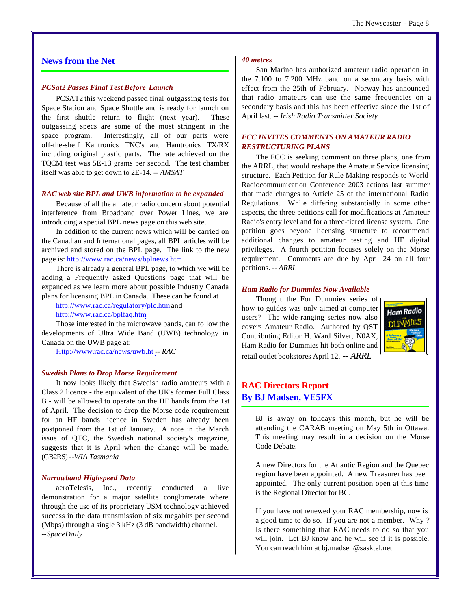#### The Newscaster - Page 8

#### **News from the Net**

#### *PCSat2 Passes Final Test Before Launch*

PCSAT2 this weekend passed final outgassing tests for Space Station and Space Shuttle and is ready for launch on the first shuttle return to flight (next year). These outgassing specs are some of the most stringent in the space program. Interestingly, all of our parts were off-the-shelf Kantronics TNC's and Hamtronics TX/RX including original plastic parts. The rate achieved on the TQCM test was 5E-13 grams per second. The test chamber itself was able to get down to 2E-14. *-- AMSAT*

#### *RAC web site BPL and UWB information to be expanded*

Because of all the amateur radio concern about potential interference from Broadband over Power Lines, we are introducing a special BPL news page on this web site.

In addition to the current news which will be carried on the Canadian and International pages, all BPL articles will be archived and stored on the BPL page. The link to the new page is:<http://www.rac.ca/news/bplnews.htm>

There is already a general BPL page, to which we will be adding a Frequently asked Questions page that will be expanded as we learn more about possible Industry Canada plans for licensing BPL in Canada. These can be found at

<http://www.rac.ca/regulatory/plc.htm>and <http://www.rac.ca/bplfaq.htm>

Those interested in the microwave bands, can follow the developments of Ultra Wide Band (UWB) technology in Canada on the UWB page at:

<Http://www.rac.ca/news/uwb.ht> *-- RAC*

#### *Swedish Plans to Drop Morse Requirement*

It now looks likely that Swedish radio amateurs with a Class 2 licence - the equivalent of the UK's former Full Class B - will be allowed to operate on the HF bands from the 1st of April. The decision to drop the Morse code requirement for an HF bands licence in Sweden has already been postponed from the 1st of January. A note in the March issue of QTC, the Swedish national society's magazine, suggests that it is April when the change will be made. (GB2RS) *--WIA Tasmania*

#### *Narrowband Highspeed Data*

aeroTelesis, Inc., recently conducted a live demonstration for a major satellite conglomerate where through the use of its proprietary USM technology achieved success in the data transmission of six megabits per second (Mbps) through a single 3 kHz (3 dB bandwidth) channel. *--SpaceDaily*

#### *40 metres*

San Marino has authorized amateur radio operation in the 7.100 to 7.200 MHz band on a secondary basis with effect from the 25th of February. Norway has announced that radio amateurs can use the same frequencies on a secondary basis and this has been effective since the 1st of April last. *-- Irish Radio Transmitter Society*

#### *FCC INVITES COMMENTS ON AMATEUR RADIO RESTRUCTURING PLANS*

The FCC is seeking comment on three plans, one from the ARRL, that would reshape the Amateur Service licensing structure. Each Petition for Rule Making responds to World Radiocommunication Conference 2003 actions last summer that made changes to Article 25 of the international Radio Regulations. While differing substantially in some other aspects, the three petitions call for modifications at Amateur Radio's entry level and for a three-tiered license system. One petition goes beyond licensing structure to recommend additional changes to amateur testing and HF digital privileges. A fourth petition focuses solely on the Morse requirement. Comments are due by April 24 on all four petitions. *-- ARRL*

#### *Ham Radio for Dummies Now Available*

Thought the For Dummies series of how-to guides was only aimed at computer users? The wide-ranging series now also covers Amateur Radio. Authored by QST Contributing Editor H. Ward Silver, N0AX, Ham Radio for Dummies hit both online and retail outlet bookstores April 12. *-- ARRL*



#### **RAC Directors Report By BJ Madsen, VE5FX**

BJ is away on holidays this month, but he will be attending the CARAB meeting on May 5th in Ottawa. This meeting may result in a decision on the Morse Code Debate.

A new Directors for the Atlantic Region and the Quebec region have been appointed. A new Treasurer has been appointed. The only current position open at this time is the Regional Director for BC.

If you have not renewed your RAC membership, now is a good time to do so. If you are not a member. Why ? Is there something that RAC needs to do so that you will join. Let BJ know and he will see if it is possible. You can reach him at bj.madsen@sasktel.net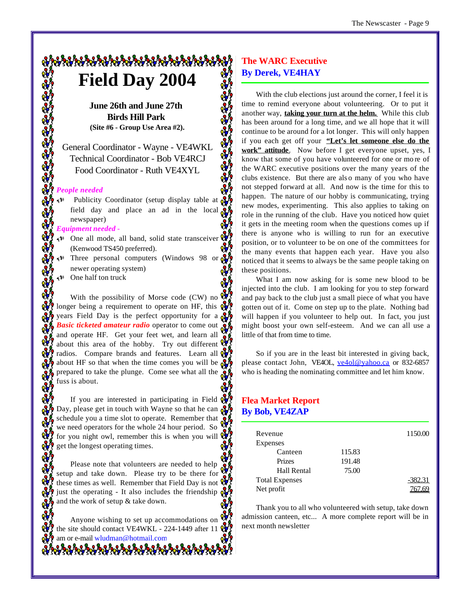## 012121212121212121212121212121 **Field Day 2004**

**June 26th and June 27th Birds Hill Park (Site #6 - Group Use Area #2).**

General Coordinator - Wayne - VE4WKL Technical Coordinator - Bob VE4RCJ Food Coordinator - Ruth VE4XYL

# <u>ં જે જે જે જે જે જે જે જે જે જે</u> *People needed*

 $\bigoplus$  Publicity Coordinator (setup display table at  $\bigotimes$ field day and place an ad in the local  $\sum_{k=1}^{\infty}$ newspaper)

#### *Equipment needed -*

- $\mathbb{R}^n$  One all mode, all band, solid state transceiver  $\mathbb{R}^n$ (Kenwood TS450 preferred).
- Three personal computers (Windows 98 or  $\alpha$ newer operating system)
- One half ton truck

With the possibility of Morse code (CW) no  $\mathbb{R}$ longer being a requirement to operate on HF, this  $Q_{\nu}$ years Field Day is the perfect opportunity for a **co Basic ticketed amateur radio** operator to come out and operate HF. Get your feet wet, and learn all about this area of the hobby. Try out different  $\mathbb{Q}_3$ radios. Compare brands and features. Learn all  $\mathbb{Q}$ about HF so that when the time comes you will be  $\alpha$ prepared to take the plunge. Come see what all the  $\ddot{\mathbf{g}}$ fuss is about.

If you are interested in participating in Field  $\mathbb{Q}$ Day, please get in touch with Wayne so that he can  $\frac{1}{2}$ schedule you a time slot to operate. Remember that we need operators for the whole 24 hour period. So for you night owl, remember this is when you will  $\mathbb{R}^3$ get the longest operating times.

Please note that volunteers are needed to help setup and take down. Please try to be there for these times as well. Remember that Field Day is not  $\mathbb{Q}$ just the operating - It also includes the friendship  $\Omega$ and the work of setup  $\&$  take down.

Anyone wishing to set up accommodations on the site should contact VE4WKL - 224-1449 after 11  $\frac{N}{2}$ am or e-mail wludman@hotmail.com

#### **The WARC Executive By Derek, VE4HAY**

With the club elections just around the corner, I feel it is time to remind everyone about volunteering. Or to put it another way, **taking your turn at the helm.** While this club has been around for a long time, and we all hope that it will continue to be around for a lot longer. This will only happen if you each get off your **"Let's let someone else do the work" attitude**. Now before I get everyone upset, yes, I know that some of you have volunteered for one or mo re of the WARC executive positions over the many years of the clubs existence. But there are als o many of you who have not stepped forward at all. And now is the time for this to happen. The nature of our hobby is communicating, trying new modes, experimenting. This also applies to taking on role in the running of the club. Have you noticed how quiet it gets in the meeting room when the questions comes up if there is anyone who is willing to run for an executive position, or to volunteer to be on one of the committees for the many events that happen each year. Have you also noticed that it seems to always be the same people taking on these positions.

What I am now asking for is some new blood to be injected into the club. I am looking for you to step forward and pay back to the club just a small piece of what you have gotten out of it. Come on step up to the plate. Nothing bad will happen if you volunteer to help out. In fact, you just might boost your own self-esteem. And we can all use a little of that from time to time.

So if you are in the least bit interested in giving back, please contact John, VE4OL, ve4ol@yahoo.ca or 832-6857 who is heading the nominating committee and let him know.

#### **Flea Market Report By Bob, VE4ZAP**

| Revenue               |        | 1150.00   |
|-----------------------|--------|-----------|
| Expenses              |        |           |
| Canteen               | 115.83 |           |
| Prizes                | 191.48 |           |
| Hall Rental           | 75.00  |           |
| <b>Total Expenses</b> |        | $-382.31$ |
| Net profit            |        |           |

Thank you to all who volunteered with setup, take down admission canteen, etc... A more complete report will be in next month newsletter